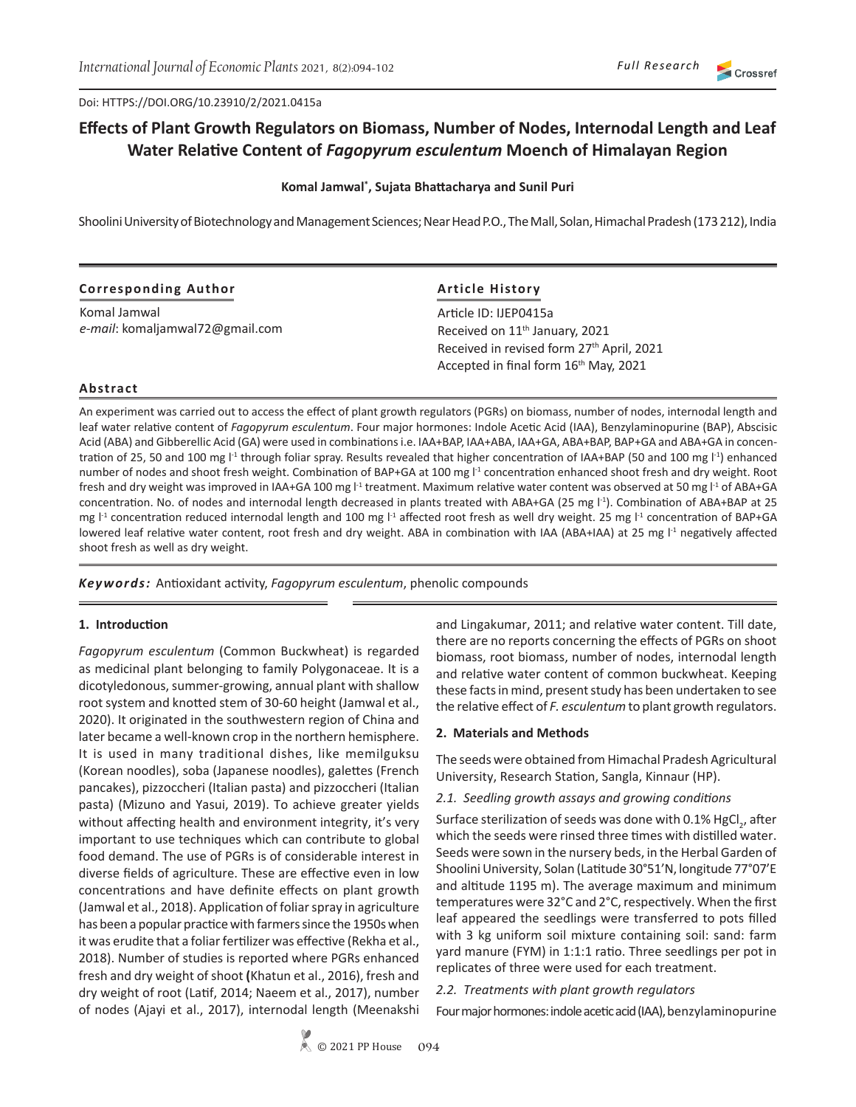Doi: HTTPS://DOI.ORG/10.23910/2/2021.0415a

# **Effects of Plant Growth Regulators on Biomass, Number of Nodes, Internodal Length and Leaf Water Relative Content of** *Fagopyrum esculentum* **Moench of Himalayan Region**

#### **Komal Jamwal\* , Sujata Bhattacharya and Sunil Puri**

Shoolini University of Biotechnology and Management Sciences; Near Head P.O., The Mall, Solan, Himachal Pradesh (173 212), India

| <b>Corresponding Author</b>     | <b>Article History</b>                                                                         |  |  |  |
|---------------------------------|------------------------------------------------------------------------------------------------|--|--|--|
| Komal Jamwal                    | Article ID: IJEP0415a                                                                          |  |  |  |
| e-mail: komaljamwal72@gmail.com | Received on 11 <sup>th</sup> January, 2021                                                     |  |  |  |
|                                 | Received in revised form 27th April, 2021<br>Accepted in final form 16 <sup>th</sup> May, 2021 |  |  |  |

# **Abstract**

An experiment was carried out to access the effect of plant growth regulators (PGRs) on biomass, number of nodes, internodal length and leaf water relative content of *Fagopyrum esculentum*. Four major hormones: Indole Acetic Acid (IAA), Benzylaminopurine (BAP), Abscisic Acid (ABA) and Gibberellic Acid (GA) were used in combinations i.e. IAA+BAP, IAA+ABA, IAA+GA, ABA+BAP, BAP+GA and ABA+GA in concentration of 25, 50 and 100 mg l<sup>-1</sup> through foliar spray. Results revealed that higher concentration of IAA+BAP (50 and 100 mg l<sup>-1</sup>) enhanced number of nodes and shoot fresh weight. Combination of BAP+GA at 100 mg  $1<sup>1</sup>$  concentration enhanced shoot fresh and dry weight. Root fresh and dry weight was improved in IAA+GA 100 mg  $1<sup>1</sup>$  treatment. Maximum relative water content was observed at 50 mg  $1<sup>1</sup>$  of ABA+GA concentration. No. of nodes and internodal length decreased in plants treated with ABA+GA (25 mg l<sup>-1</sup>). Combination of ABA+BAP at 25 mg l<sup>-1</sup> concentration reduced internodal length and 100 mg l<sup>-1</sup> affected root fresh as well dry weight. 25 mg l<sup>-1</sup> concentration of BAP+GA lowered leaf relative water content, root fresh and dry weight. ABA in combination with IAA (ABA+IAA) at 25 mg l<sup>-1</sup> negatively affected shoot fresh as well as dry weight.

*Keywords:* Antioxidant activity, *Fagopyrum esculentum*, phenolic compounds

## **1. Introduction**

*Fagopyrum esculentum* (Common Buckwheat) is regarded as medicinal plant belonging to family Polygonaceae. It is a dicotyledonous, summer-growing, annual plant with shallow root system and knotted stem of 30-60 height (Jamwal et al., 2020). It originated in the southwestern region of China and later became a well-known crop in the northern hemisphere. It is used in many traditional dishes, like memilguksu (Korean noodles), soba (Japanese noodles), galettes (French pancakes), pizzoccheri (Italian pasta) and pizzoccheri (Italian pasta) (Mizuno and Yasui, 2019). To achieve greater yields without affecting health and environment integrity, it's very important to use techniques which can contribute to global food demand. The use of PGRs is of considerable interest in diverse fields of agriculture. These are effective even in low concentrations and have definite effects on plant growth (Jamwal et al., 2018). Application of foliar spray in agriculture has been a popular practice with farmers since the 1950s when it was erudite that a foliar fertilizer was effective (Rekha et al., 2018). Number of studies is reported where PGRs enhanced fresh and dry weight of shoot **(**Khatun et al., 2016), fresh and dry weight of root (Latif, 2014; Naeem et al., 2017), number of nodes (Ajayi et al., 2017), internodal length (Meenakshi

and Lingakumar, 2011; and relative water content. Till date, there are no reports concerning the effects of PGRs on shoot biomass, root biomass, number of nodes, internodal length and relative water content of common buckwheat. Keeping these facts in mind, present study has been undertaken to see the relative effect of *F. esculentum* to plant growth regulators.

## **2. Materials and Methods**

The seeds were obtained from Himachal Pradesh Agricultural University, Research Station, Sangla, Kinnaur (HP).

#### *2.1. Seedling growth assays and growing conditions*

Surface sterilization of seeds was done with 0.1% HgCl<sub>2</sub>, after which the seeds were rinsed three times with distilled water. Seeds were sown in the nursery beds, in the Herbal Garden of Shoolini University, Solan (Latitude 30°51'N, longitude 77°07'E and altitude 1195 m). The average maximum and minimum temperatures were 32°C and 2°C, respectively. When the first leaf appeared the seedlings were transferred to pots filled with 3 kg uniform soil mixture containing soil: sand: farm yard manure (FYM) in 1:1:1 ratio. Three seedlings per pot in replicates of three were used for each treatment.

*2.2. Treatments with plant growth regulators* 

Four major hormones: indole acetic acid (IAA), benzylaminopurine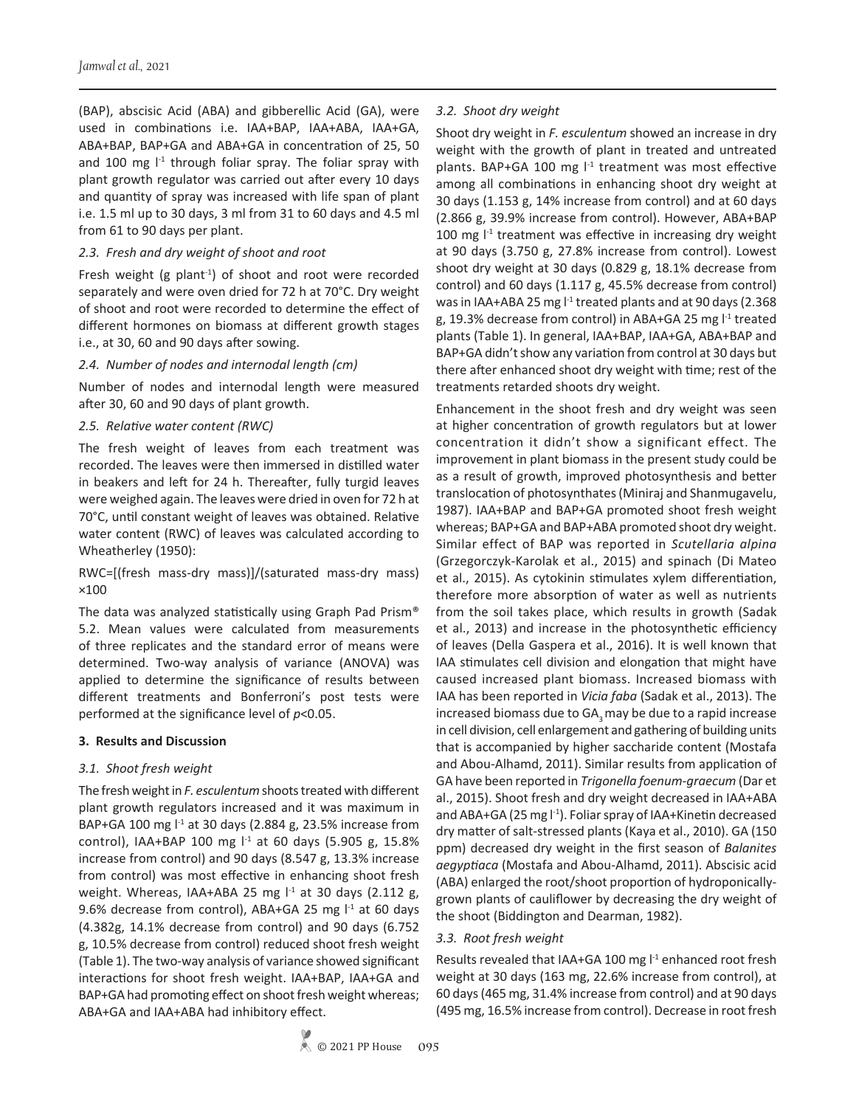(BAP), abscisic Acid (ABA) and gibberellic Acid (GA), were used in combinations i.e. IAA+BAP, IAA+ABA, IAA+GA, ABA+BAP, BAP+GA and ABA+GA in concentration of 25, 50 and 100 mg  $I<sup>-1</sup>$  through foliar spray. The foliar spray with plant growth regulator was carried out after every 10 days and quantity of spray was increased with life span of plant i.e. 1.5 ml up to 30 days, 3 ml from 31 to 60 days and 4.5 ml from 61 to 90 days per plant.

## *2.3. Fresh and dry weight of shoot and root*

Fresh weight (g plant<sup>-1</sup>) of shoot and root were recorded separately and were oven dried for 72 h at 70°C. Dry weight of shoot and root were recorded to determine the effect of different hormones on biomass at different growth stages i.e., at 30, 60 and 90 days after sowing.

#### *2.4. Number of nodes and internodal length (cm)*

Number of nodes and internodal length were measured after 30, 60 and 90 days of plant growth.

## *2.5. Relative water content (RWC)*

The fresh weight of leaves from each treatment was recorded. The leaves were then immersed in distilled water in beakers and left for 24 h. Thereafter, fully turgid leaves were weighed again. The leaves were dried in oven for 72 h at 70°C, until constant weight of leaves was obtained. Relative water content (RWC) of leaves was calculated according to Wheatherley (1950):

RWC=[(fresh mass-dry mass)]/(saturated mass-dry mass) ×100

The data was analyzed statistically using Graph Pad Prism® 5.2. Mean values were calculated from measurements of three replicates and the standard error of means were determined. Two-way analysis of variance (ANOVA) was applied to determine the significance of results between different treatments and Bonferroni's post tests were performed at the significance level of *p*<0.05.

## **3. Results and Discussion**

## *3.1. Shoot fresh weight*

The fresh weight in *F. esculentum* shoots treated with different plant growth regulators increased and it was maximum in BAP+GA 100 mg  $1<sup>-1</sup>$  at 30 days (2.884 g, 23.5% increase from control), IAA+BAP 100 mg  $1<sup>-1</sup>$  at 60 days (5.905 g, 15.8% increase from control) and 90 days (8.547 g, 13.3% increase from control) was most effective in enhancing shoot fresh weight. Whereas, IAA+ABA 25 mg  $I<sup>-1</sup>$  at 30 days (2.112 g, 9.6% decrease from control), ABA+GA 25 mg  $I<sup>-1</sup>$  at 60 days (4.382g, 14.1% decrease from control) and 90 days (6.752 g, 10.5% decrease from control) reduced shoot fresh weight (Table 1). The two-way analysis of variance showed significant interactions for shoot fresh weight. IAA+BAP, IAA+GA and BAP+GA had promoting effect on shoot fresh weight whereas; ABA+GA and IAA+ABA had inhibitory effect.

# *3.2. Shoot dry weight*

Shoot dry weight in *F. esculentum* showed an increase in dry weight with the growth of plant in treated and untreated plants. BAP+GA 100 mg  $l<sup>-1</sup>$  treatment was most effective among all combinations in enhancing shoot dry weight at 30 days (1.153 g, 14% increase from control) and at 60 days (2.866 g, 39.9% increase from control). However, ABA+BAP 100 mg  $l<sup>-1</sup>$  treatment was effective in increasing dry weight at 90 days (3.750 g, 27.8% increase from control). Lowest shoot dry weight at 30 days (0.829 g, 18.1% decrease from control) and 60 days (1.117 g, 45.5% decrease from control) was in IAA+ABA 25 mg  $1<sup>-1</sup>$  treated plants and at 90 days (2.368 g, 19.3% decrease from control) in ABA+GA 25 mg  $l<sup>-1</sup>$  treated plants (Table 1). In general, IAA+BAP, IAA+GA, ABA+BAP and BAP+GA didn't show any variation from control at 30 days but there after enhanced shoot dry weight with time; rest of the treatments retarded shoots dry weight.

Enhancement in the shoot fresh and dry weight was seen at higher concentration of growth regulators but at lower concentration it didn't show a significant effect. The improvement in plant biomass in the present study could be as a result of growth, improved photosynthesis and better translocation of photosynthates (Miniraj and Shanmugavelu, 1987). IAA+BAP and BAP+GA promoted shoot fresh weight whereas; BAP+GA and BAP+ABA promoted shoot dry weight. Similar effect of BAP was reported in *Scutellaria alpina*  (Grzegorczyk-Karolak et al., 2015) and spinach (Di Mateo et al., 2015). As cytokinin stimulates xylem differentiation, therefore more absorption of water as well as nutrients from the soil takes place, which results in growth (Sadak et al., 2013) and increase in the photosynthetic efficiency of leaves (Della Gaspera et al., 2016). It is well known that IAA stimulates cell division and elongation that might have caused increased plant biomass. Increased biomass with IAA has been reported in *Vicia faba* (Sadak et al., 2013). The increased biomass due to  $GA_2$  may be due to a rapid increase in cell division, cell enlargement and gathering of building units that is accompanied by higher saccharide content (Mostafa and Abou-Alhamd, 2011). Similar results from application of GA have been reported in *Trigonella foenum-graecum* (Dar et al., 2015). Shoot fresh and dry weight decreased in IAA+ABA and ABA+GA (25 mg l<sup>-1</sup>). Foliar spray of IAA+Kinetin decreased dry matter of salt-stressed plants (Kaya et al., 2010). GA (150 ppm) decreased dry weight in the first season of *Balanites aegyptiaca* (Mostafa and Abou-Alhamd, 2011). Abscisic acid (ABA) enlarged the root/shoot proportion of hydroponicallygrown plants of cauliflower by decreasing the dry weight of the shoot (Biddington and Dearman, 1982).

## *3.3. Root fresh weight*

Results revealed that IAA+GA 100 mg l<sup>-1</sup> enhanced root fresh weight at 30 days (163 mg, 22.6% increase from control), at 60 days (465 mg, 31.4% increase from control) and at 90 days (495 mg, 16.5% increase from control). Decrease in root fresh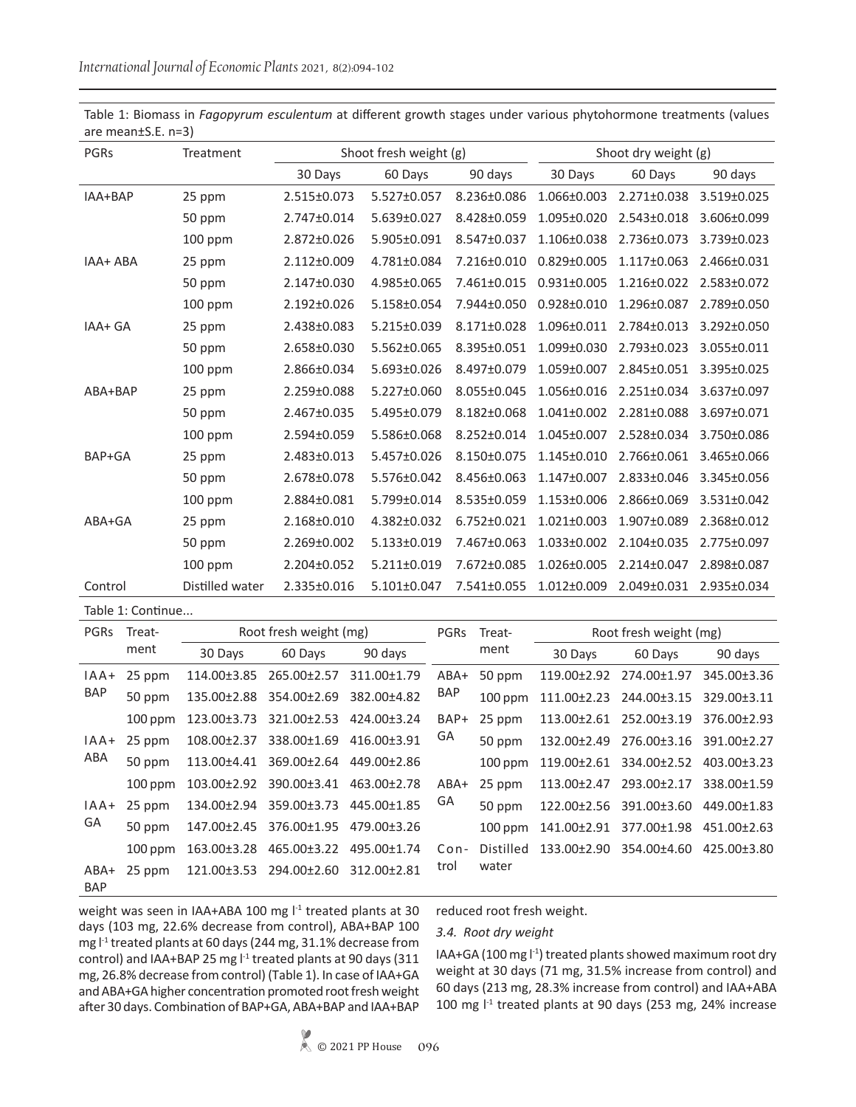| PGRs     | Treatment       | Shoot fresh weight (g) |             |             | Shoot dry weight (g) |                   |             |  |
|----------|-----------------|------------------------|-------------|-------------|----------------------|-------------------|-------------|--|
|          |                 | 30 Days                | 60 Days     | 90 days     | 30 Days              | 60 Days           | 90 days     |  |
| IAA+BAP  | 25 ppm          | 2.515±0.073            | 5.527±0.057 | 8.236±0.086 | $1.066 \pm 0.003$    | 2.271±0.038       | 3.519±0.025 |  |
|          | 50 ppm          | 2.747±0.014            | 5.639±0.027 | 8.428±0.059 | 1.095±0.020          | 2.543±0.018       | 3.606±0.099 |  |
|          | 100 ppm         | 2.872±0.026            | 5.905±0.091 | 8.547±0.037 | 1.106±0.038          | 2.736±0.073       | 3.739±0.023 |  |
| IAA+ ABA | 25 ppm          | 2.112±0.009            | 4.781±0.084 | 7.216±0.010 | $0.829 \pm 0.005$    | $1.117 \pm 0.063$ | 2.466±0.031 |  |
|          | 50 ppm          | 2.147±0.030            | 4.985±0.065 | 7.461±0.015 | $0.931 \pm 0.005$    | $1.216 \pm 0.022$ | 2.583±0.072 |  |
|          | $100$ ppm       | $2.192 \pm 0.026$      | 5.158±0.054 | 7.944±0.050 | $0.928 \pm 0.010$    | 1.296±0.087       | 2.789±0.050 |  |
| IAA+ GA  | 25 ppm          | 2.438±0.083            | 5.215±0.039 | 8.171±0.028 | 1.096±0.011          | 2.784±0.013       | 3.292±0.050 |  |
|          | 50 ppm          | 2.658±0.030            | 5.562±0.065 | 8.395±0.051 | 1.099±0.030          | 2.793±0.023       | 3.055±0.011 |  |
|          | 100 ppm         | 2.866±0.034            | 5.693±0.026 | 8.497±0.079 | 1.059±0.007          | 2.845±0.051       | 3.395±0.025 |  |
| ABA+BAP  | 25 ppm          | 2.259±0.088            | 5.227±0.060 | 8.055±0.045 | 1.056±0.016          | 2.251±0.034       | 3.637±0.097 |  |
|          | 50 ppm          | 2.467±0.035            | 5.495±0.079 | 8.182±0.068 | $1.041 \pm 0.002$    | 2.281±0.088       | 3.697±0.071 |  |
|          | 100 ppm         | 2.594±0.059            | 5.586±0.068 | 8.252±0.014 | 1.045±0.007          | 2.528±0.034       | 3.750±0.086 |  |
| BAP+GA   | 25 ppm          | 2.483±0.013            | 5.457±0.026 | 8.150±0.075 | 1.145±0.010          | 2.766±0.061       | 3.465±0.066 |  |
|          | 50 ppm          | 2.678±0.078            | 5.576±0.042 | 8.456±0.063 | 1.147±0.007          | 2.833±0.046       | 3.345±0.056 |  |
|          | $100$ ppm       | 2.884±0.081            | 5.799±0.014 | 8.535±0.059 | 1.153±0.006          | 2.866±0.069       | 3.531±0.042 |  |
| ABA+GA   | 25 ppm          | 2.168±0.010            | 4.382±0.032 | 6.752±0.021 | $1.021 \pm 0.003$    | 1.907±0.089       | 2.368±0.012 |  |
|          | 50 ppm          | 2.269±0.002            | 5.133±0.019 | 7.467±0.063 | 1.033±0.002          | 2.104±0.035       | 2.775±0.097 |  |
|          | 100 ppm         | 2.204±0.052            | 5.211±0.019 | 7.672±0.085 | $1.026 \pm 0.005$    | 2.214±0.047       | 2.898±0.087 |  |
| Control  | Distilled water | 2.335±0.016            | 5.101±0.047 | 7.541±0.055 | 1.012±0.009          | 2.049±0.031       | 2.935±0.034 |  |

Table 1: Biomass in *Fagopyrum esculentum* at different growth stages under various phytohormone treatments (values are mean±S.E. n=3)

Table 1: Continue...

| <b>PGRS</b>        | Treat-<br>ment | Root fresh weight (mg) |                                     |             | PGRs             | Treat-    | Root fresh weight (mg) |                                     |             |
|--------------------|----------------|------------------------|-------------------------------------|-------------|------------------|-----------|------------------------|-------------------------------------|-------------|
|                    |                | 30 Days                | 60 Days                             | 90 days     |                  | ment      | 30 Days                | 60 Days                             | 90 days     |
| $IAA+$<br>BAP      | 25 ppm         |                        | 114.00±3.85 265.00±2.57             | 311.00±1.79 | $ABA+$<br>BAP    | 50 ppm    |                        | 119.00±2.92 274.00±1.97             | 345.00±3.36 |
|                    | 50 ppm         |                        | 135.00±2.88 354.00±2.69             | 382.00±4.82 |                  | $100$ ppm |                        | 111.00±2.23 244.00±3.15             | 329.00±3.11 |
|                    | $100$ ppm      |                        | 123.00±3.73 321.00±2.53             | 424.00±3.24 | BAP+             | 25 ppm    |                        | 113.00±2.61 252.00±3.19             | 376.00±2.93 |
| $IAA+$<br>ABA      | 25 ppm         |                        | 108.00±2.37 338.00±1.69 416.00±3.91 |             | GA<br>ABA+<br>GA | 50 ppm    |                        | 132.00±2.49 276.00±3.16 391.00±2.27 |             |
|                    | 50 ppm         |                        | 113.00±4.41 369.00±2.64 449.00±2.86 |             |                  | $100$ ppm |                        | 119.00±2.61 334.00±2.52             | 403.00±3.23 |
|                    | $100$ ppm      |                        | 103.00±2.92 390.00±3.41 463.00±2.78 |             |                  | 25 ppm    |                        | 113.00±2.47 293.00±2.17             | 338.00±1.59 |
| $IAA+$<br>GA       | 25 ppm         |                        | 134.00±2.94 359.00±3.73 445.00±1.85 |             |                  | 50 ppm    |                        | 122.00±2.56 391.00±3.60             | 449.00±1.83 |
|                    | 50 ppm         |                        | 147.00±2.45 376.00±1.95 479.00±3.26 |             |                  | $100$ ppm | 141.00±2.91            | 377.00±1.98 451.00±2.63             |             |
|                    | $100$ ppm      |                        | 163.00±3.28 465.00±3.22             | 495.00±1.74 | $Con-$           | Distilled |                        | 133.00±2.90 354.00±4.60 425.00±3.80 |             |
| ABA+<br><b>BAP</b> | 25 ppm         |                        | 121.00±3.53 294.00±2.60             | 312.00±2.81 | trol             | water     |                        |                                     |             |

weight was seen in IAA+ABA 100 mg l<sup>-1</sup> treated plants at 30 days (103 mg, 22.6% decrease from control), ABA+BAP 100 mg l-1 treated plants at 60 days (244 mg, 31.1% decrease from control) and IAA+BAP 25 mg l<sup>-1</sup> treated plants at 90 days (311 mg, 26.8% decrease from control) (Table 1). In case of IAA+GA and ABA+GA higher concentration promoted root fresh weight after 30 days. Combination of BAP+GA, ABA+BAP and IAA+BAP

reduced root fresh weight.

#### *3.4. Root dry weight*

IAA+GA (100 mg l<sup>-1</sup>) treated plants showed maximum root dry weight at 30 days (71 mg, 31.5% increase from control) and 60 days (213 mg, 28.3% increase from control) and IAA+ABA 100 mg l<sup>-1</sup> treated plants at 90 days (253 mg, 24% increase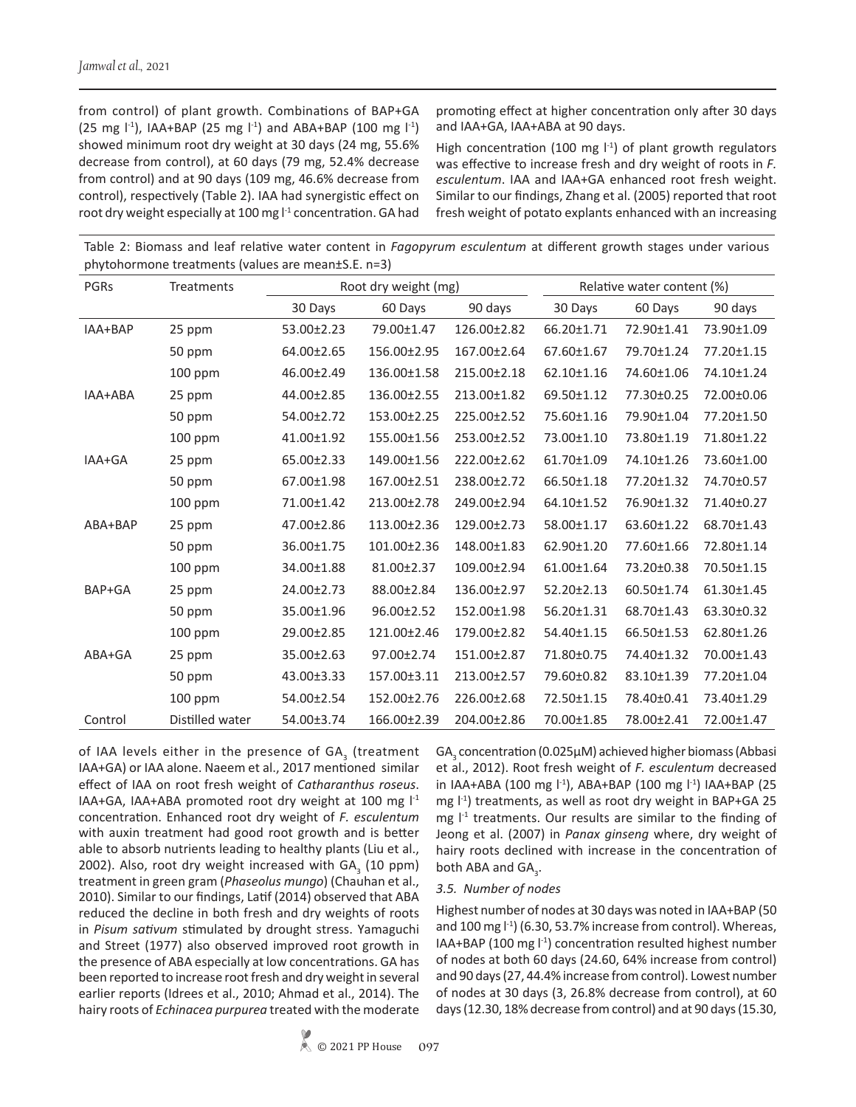from control) of plant growth. Combinations of BAP+GA  $(25 \text{ mg } |^{1})$ , IAA+BAP  $(25 \text{ mg } |^{1})$  and ABA+BAP  $(100 \text{ mg } |^{1})$ showed minimum root dry weight at 30 days (24 mg, 55.6% decrease from control), at 60 days (79 mg, 52.4% decrease from control) and at 90 days (109 mg, 46.6% decrease from control), respectively (Table 2). IAA had synergistic effect on root dry weight especially at 100 mg  $l<sup>-1</sup>$  concentration. GA had

promoting effect at higher concentration only after 30 days and IAA+GA, IAA+ABA at 90 days.

High concentration (100 mg  $\vert$ <sup>-1</sup>) of plant growth regulators was effective to increase fresh and dry weight of roots in *F. esculentum*. IAA and IAA+GA enhanced root fresh weight. Similar to our findings, Zhang et al. (2005) reported that root fresh weight of potato explants enhanced with an increasing

Table 2: Biomass and leaf relative water content in *Fagopyrum esculentum* at different growth stages under various phytohormone treatments (values are mean±S.E. n=3)

| PGRs    | Treatments      |            | Root dry weight (mg) | Relative water content (%) |            |            |            |
|---------|-----------------|------------|----------------------|----------------------------|------------|------------|------------|
|         |                 | 30 Days    | 60 Days              | 90 days                    | 30 Days    | 60 Days    | 90 days    |
| IAA+BAP | 25 ppm          | 53.00±2.23 | 79.00±1.47           | 126.00±2.82                | 66.20±1.71 | 72.90±1.41 | 73.90±1.09 |
|         | 50 ppm          | 64.00±2.65 | 156.00±2.95          | 167.00±2.64                | 67.60±1.67 | 79.70±1.24 | 77.20±1.15 |
|         | 100 ppm         | 46.00±2.49 | 136.00±1.58          | 215.00±2.18                | 62.10±1.16 | 74.60±1.06 | 74.10±1.24 |
| IAA+ABA | 25 ppm          | 44.00±2.85 | 136.00±2.55          | 213.00±1.82                | 69.50±1.12 | 77.30±0.25 | 72.00±0.06 |
|         | 50 ppm          | 54.00±2.72 | 153.00±2.25          | 225.00±2.52                | 75.60±1.16 | 79.90±1.04 | 77.20±1.50 |
|         | 100 ppm         | 41.00±1.92 | 155.00±1.56          | 253.00±2.52                | 73.00±1.10 | 73.80±1.19 | 71.80±1.22 |
| IAA+GA  | 25 ppm          | 65.00±2.33 | 149.00±1.56          | 222.00±2.62                | 61.70±1.09 | 74.10±1.26 | 73.60±1.00 |
|         | 50 ppm          | 67.00±1.98 | 167.00±2.51          | 238.00±2.72                | 66.50±1.18 | 77.20±1.32 | 74.70±0.57 |
|         | 100 ppm         | 71.00±1.42 | 213.00±2.78          | 249.00±2.94                | 64.10±1.52 | 76.90±1.32 | 71.40±0.27 |
| ABA+BAP | 25 ppm          | 47.00±2.86 | 113.00±2.36          | 129.00±2.73                | 58.00±1.17 | 63.60±1.22 | 68.70±1.43 |
|         | 50 ppm          | 36.00±1.75 | 101.00±2.36          | 148.00±1.83                | 62.90±1.20 | 77.60±1.66 | 72.80±1.14 |
|         | 100 ppm         | 34.00±1.88 | 81.00±2.37           | 109.00±2.94                | 61.00±1.64 | 73.20±0.38 | 70.50±1.15 |
| BAP+GA  | 25 ppm          | 24.00±2.73 | 88.00±2.84           | 136.00±2.97                | 52.20±2.13 | 60.50±1.74 | 61.30±1.45 |
|         | 50 ppm          | 35.00±1.96 | 96.00±2.52           | 152.00±1.98                | 56.20±1.31 | 68.70±1.43 | 63.30±0.32 |
|         | 100 ppm         | 29.00±2.85 | 121.00±2.46          | 179.00±2.82                | 54.40±1.15 | 66.50±1.53 | 62.80±1.26 |
| ABA+GA  | 25 ppm          | 35.00±2.63 | 97.00±2.74           | 151.00±2.87                | 71.80±0.75 | 74.40±1.32 | 70.00±1.43 |
|         | 50 ppm          | 43.00±3.33 | 157.00±3.11          | 213.00±2.57                | 79.60±0.82 | 83.10±1.39 | 77.20±1.04 |
|         | 100 ppm         | 54.00±2.54 | 152.00±2.76          | 226.00±2.68                | 72.50±1.15 | 78.40±0.41 | 73.40±1.29 |
| Control | Distilled water | 54.00±3.74 | 166.00±2.39          | 204.00±2.86                | 70.00±1.85 | 78.00±2.41 | 72.00±1.47 |

of IAA levels either in the presence of GA $_3$  (treatment IAA+GA) or IAA alone. Naeem et al., 2017 mentioned similar effect of IAA on root fresh weight of *Catharanthus roseus*. IAA+GA, IAA+ABA promoted root dry weight at 100 mg l<sup>-1</sup> concentration. Enhanced root dry weight of *F. esculentum*  with auxin treatment had good root growth and is better able to absorb nutrients leading to healthy plants (Liu et al., 2002). Also, root dry weight increased with GA<sub>3</sub> (10 ppm) treatment in green gram (*Phaseolus mungo*) (Chauhan et al., 2010). Similar to our findings, Latif (2014) observed that ABA reduced the decline in both fresh and dry weights of roots in *Pisum sativum* stimulated by drought stress. Yamaguchi and Street (1977) also observed improved root growth in the presence of ABA especially at low concentrations. GA has been reported to increase root fresh and dry weight in several earlier reports (Idrees et al., 2010; Ahmad et al., 2014). The hairy roots of *Echinacea purpurea* treated with the moderate

 $\textsf{GA}_{\mathfrak{g}}$  concentration (0.025 $\mu$ M) achieved higher biomass (Abbasi et al., 2012). Root fresh weight of *F. esculentum* decreased in IAA+ABA (100 mg l<sup>-1</sup>), ABA+BAP (100 mg l<sup>-1</sup>) IAA+BAP (25 mg  $\vert$ <sup>-1</sup>) treatments, as well as root dry weight in BAP+GA 25 mg  $I<sup>-1</sup>$  treatments. Our results are similar to the finding of Jeong et al. (2007) in *Panax ginseng* where, dry weight of hairy roots declined with increase in the concentration of both ABA and  $GA_{3}$ .

#### *3.5. Number of nodes*

Highest number of nodes at 30 days was noted in IAA+BAP (50 and 100 mg  $\binom{1}{1}$  (6.30, 53.7% increase from control). Whereas, IAA+BAP (100 mg  $\vert$ <sup>-1</sup>) concentration resulted highest number of nodes at both 60 days (24.60, 64% increase from control) and 90 days (27, 44.4% increase from control). Lowest number of nodes at 30 days (3, 26.8% decrease from control), at 60 days (12.30, 18% decrease from control) and at 90 days (15.30,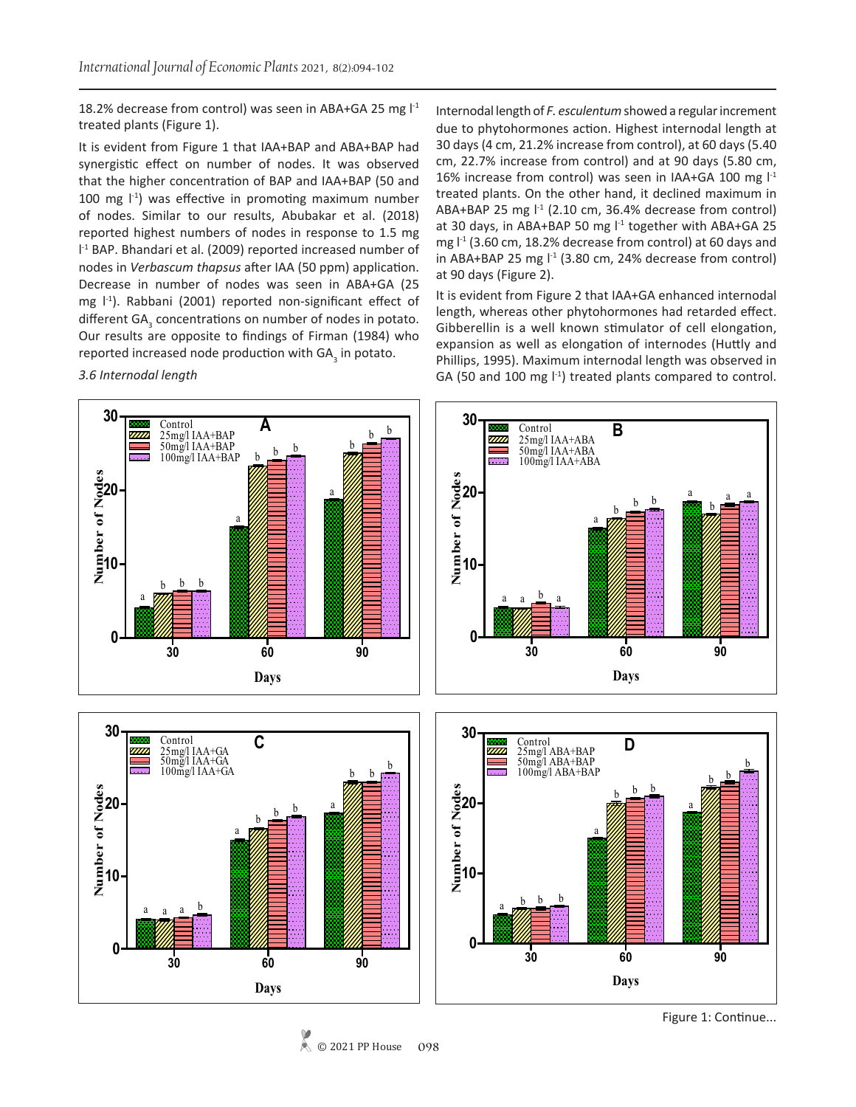18.2% decrease from control) was seen in ABA+GA 25 mg  $I<sup>-1</sup>$ treated plants (Figure 1).

It is evident from Figure 1 that IAA+BAP and ABA+BAP had synergistic effect on number of nodes. It was observed that the higher concentration of BAP and IAA+BAP (50 and 100 mg  $\vert$ <sup>-1</sup>) was effective in promoting maximum number of nodes. Similar to our results, Abubakar et al. (2018) reported highest numbers of nodes in response to 1.5 mg l -1 BAP. Bhandari et al. (2009) reported increased number of nodes in *Verbascum thapsus* after IAA (50 ppm) application. Decrease in number of nodes was seen in ABA+GA (25 mg  $\lfloor -1 \rfloor$ . Rabbani (2001) reported non-significant effect of different  $GA_{3}$  concentrations on number of nodes in potato. Our results are opposite to findings of Firman (1984) who reported increased node production with GA<sub>3</sub> in potato.

*3.6 Internodal length* 

Internodal length of *F. esculentum* showed a regular increment due to phytohormones action. Highest internodal length at 30 days (4 cm, 21.2% increase from control), at 60 days (5.40 cm, 22.7% increase from control) and at 90 days (5.80 cm, 16% increase from control) was seen in IAA+GA 100 mg  $l<sup>-1</sup>$ treated plants. On the other hand, it declined maximum in ABA+BAP 25 mg  $\vert$ <sup>-1</sup> (2.10 cm, 36.4% decrease from control) at 30 days, in ABA+BAP 50 mg  $I<sup>1</sup>$  together with ABA+GA 25 mg  $l<sup>-1</sup>$  (3.60 cm, 18.2% decrease from control) at 60 days and in ABA+BAP 25 mg  $I<sup>-1</sup>$  (3.80 cm, 24% decrease from control) at 90 days (Figure 2).

It is evident from Figure 2 that IAA+GA enhanced internodal length, whereas other phytohormones had retarded effect. Gibberellin is a well known stimulator of cell elongation, expansion as well as elongation of internodes (Huttly and Phillips, 1995). Maximum internodal length was observed in GA (50 and 100 mg  $\vert$ <sup>-1</sup>) treated plants compared to control.



© 2021 PP House **098** Figure 1: Continue...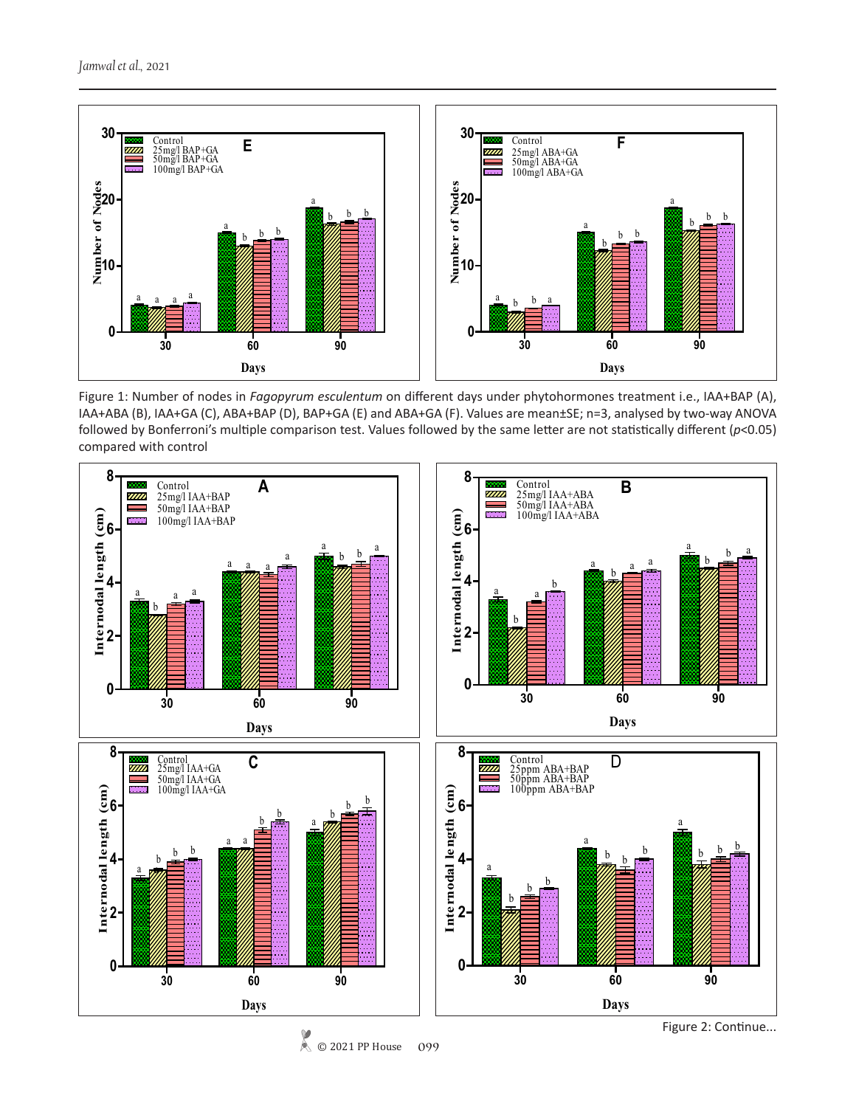

Figure 1: Number of nodes in *Fagopyrum esculentum* on different days under phytohormones treatment i.e., IAA+BAP (A), IAA+ABA (B), IAA+GA (C), ABA+BAP (D), BAP+GA (E) and ABA+GA (F). Values are mean±SE; n=3, analysed by two-way ANOVA followed by Bonferroni's multiple comparison test. Values followed by the same letter are not statistically different (*p*<0.05) compared with control



© 2021 PP House **099**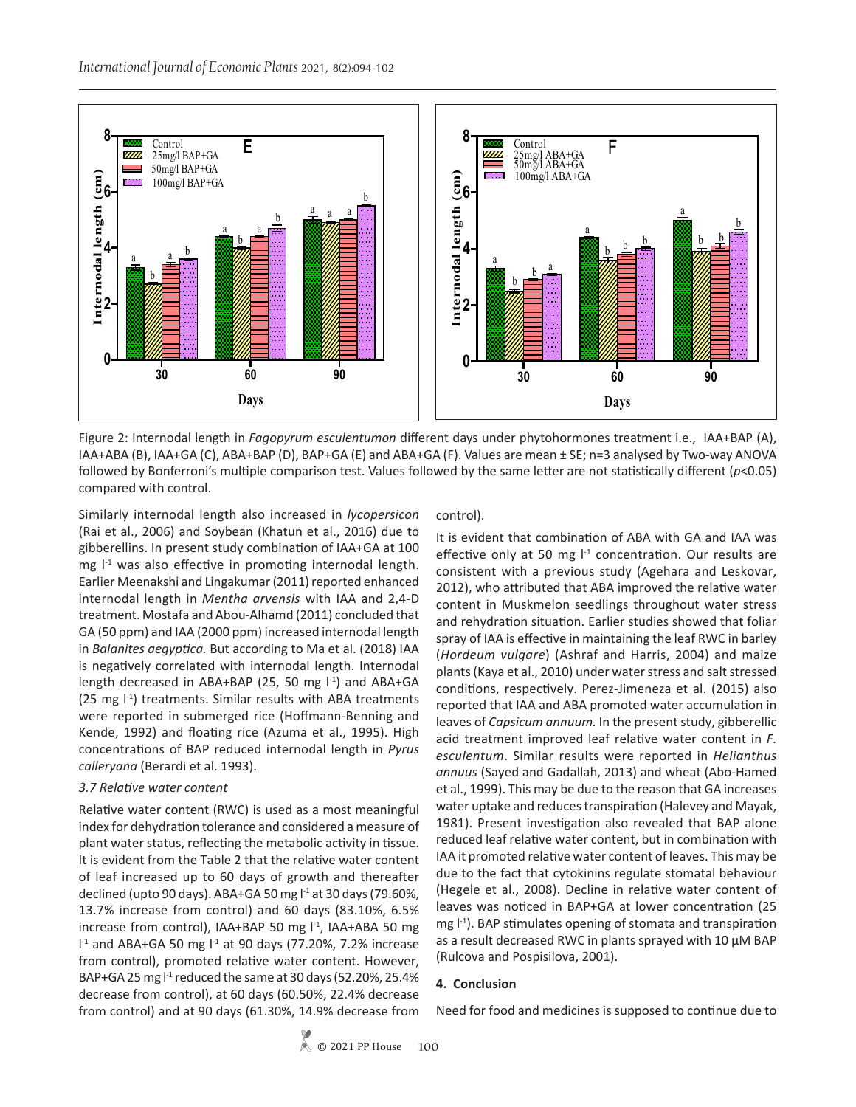

Figure 2: Internodal length in *Fagopyrum esculentumon* different days under phytohormones treatment i.e., IAA+BAP (A), IAA+ABA (B), IAA+GA (C), ABA+BAP (D), BAP+GA (E) and ABA+GA (F). Values are mean ± SE; n=3 analysed by Two-way ANOVA followed by Bonferroni's multiple comparison test. Values followed by the same letter are not statistically different (*p*<0.05) compared with control.

Similarly internodal length also increased in *lycopersicon* (Rai et al., 2006) and Soybean (Khatun et al., 2016) due to gibberellins. In present study combination of IAA+GA at 100 mg  $I<sup>-1</sup>$  was also effective in promoting internodal length. Earlier Meenakshi and Lingakumar (2011) reported enhanced internodal length in *Mentha arvensis* with IAA and 2,4-D treatment. Mostafa and Abou-Alhamd (2011) concluded that GA (50 ppm) and IAA (2000 ppm) increased internodal length in *Balanites aegyptica.* But according to Ma et al. (2018) IAA is negatively correlated with internodal length. Internodal length decreased in ABA+BAP (25, 50 mg l<sup>-1</sup>) and ABA+GA (25 mg l-1) treatments. Similar results with ABA treatments were reported in submerged rice (Hoffmann-Benning and Kende, 1992) and floating rice (Azuma et al., 1995). High concentrations of BAP reduced internodal length in *Pyrus calleryana* (Berardi et al. 1993).

## *3.7 Relative water content*

Relative water content (RWC) is used as a most meaningful index for dehydration tolerance and considered a measure of plant water status, reflecting the metabolic activity in tissue. It is evident from the Table 2 that the relative water content of leaf increased up to 60 days of growth and thereafter declined (upto 90 days). ABA+GA 50 mg  $1<sup>-1</sup>$  at 30 days (79.60%, 13.7% increase from control) and 60 days (83.10%, 6.5% increase from control), IAA+BAP 50 mg  $I<sup>-1</sup>$ , IAA+ABA 50 mg  $1<sup>-1</sup>$  and ABA+GA 50 mg  $1<sup>-1</sup>$  at 90 days (77.20%, 7.2% increase from control), promoted relative water content. However, BAP+GA 25 mg  $1<sup>-1</sup>$  reduced the same at 30 days (52.20%, 25.4% decrease from control), at 60 days (60.50%, 22.4% decrease from control) and at 90 days (61.30%, 14.9% decrease from

control).

It is evident that combination of ABA with GA and IAA was effective only at 50 mg  $1<sup>-1</sup>$  concentration. Our results are consistent with a previous study (Agehara and Leskovar, 2012), who attributed that ABA improved the relative water content in Muskmelon seedlings throughout water stress and rehydration situation. Earlier studies showed that foliar spray of IAA is effective in maintaining the leaf RWC in barley (*Hordeum vulgare*) (Ashraf and Harris, 2004) and maize plants (Kaya et al., 2010) under water stress and salt stressed conditions, respectively. Perez-Jimeneza et al. (2015) also reported that IAA and ABA promoted water accumulation in leaves of *Capsicum annuum.* In the present study, gibberellic acid treatment improved leaf relative water content in *F. esculentum*. Similar results were reported in *Helianthus annuus* (Sayed and Gadallah, 2013) and wheat (Abo-Hamed et al., 1999). This may be due to the reason that GA increases water uptake and reduces transpiration (Halevey and Mayak, 1981). Present investigation also revealed that BAP alone reduced leaf relative water content, but in combination with IAA it promoted relative water content of leaves. This may be due to the fact that cytokinins regulate stomatal behaviour (Hegele et al., 2008). Decline in relative water content of leaves was noticed in BAP+GA at lower concentration (25 mg  $\vert$ <sup>-1</sup>). BAP stimulates opening of stomata and transpiration as a result decreased RWC in plants sprayed with 10 μM BAP (Rulcova and Pospisilova, 2001).

## **4. Conclusion**

Need for food and medicines is supposed to continue due to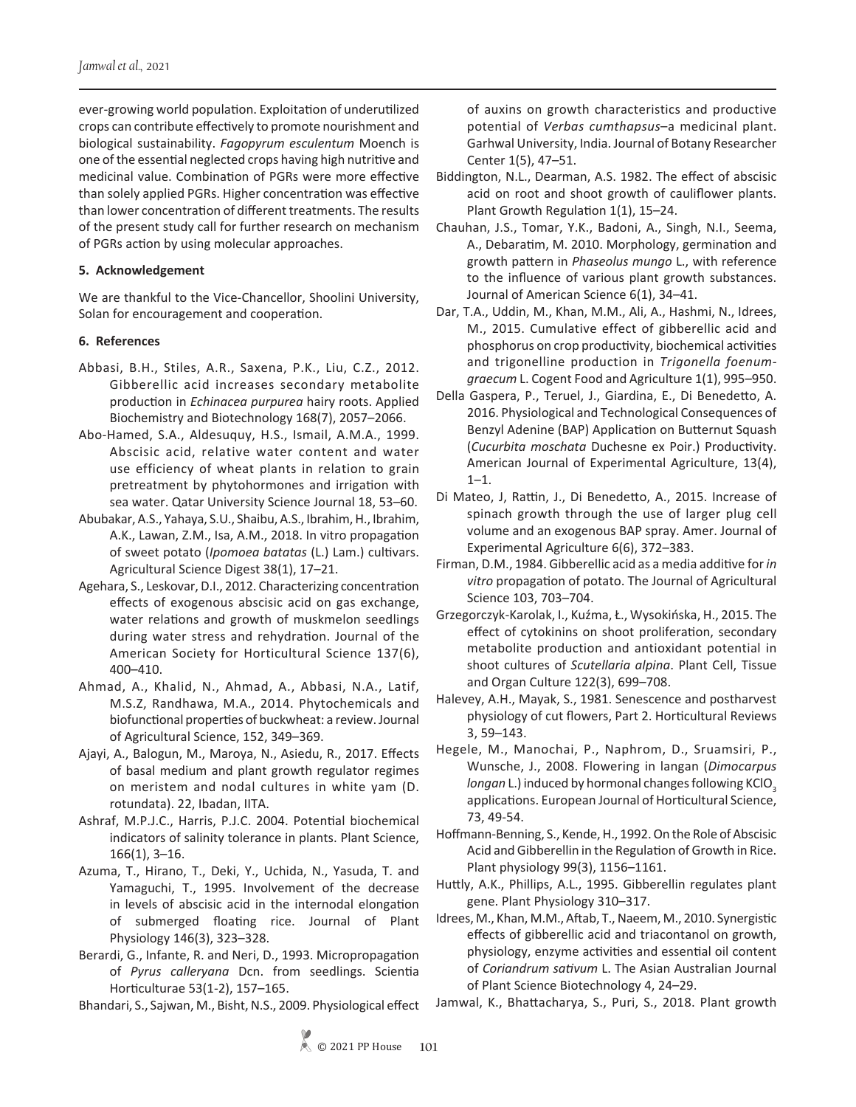ever-growing world population. Exploitation of underutilized crops can contribute effectively to promote nourishment and biological sustainability. *Fagopyrum esculentum* Moench is one of the essential neglected crops having high nutritive and medicinal value. Combination of PGRs were more effective than solely applied PGRs. Higher concentration was effective than lower concentration of different treatments. The results of the present study call for further research on mechanism of PGRs action by using molecular approaches.

# **5. Acknowledgement**

We are thankful to the Vice-Chancellor, Shoolini University, Solan for encouragement and cooperation.

# **6. References**

- Abbasi, B.H., Stiles, A.R., Saxena, P.K., Liu, C.Z., 2012. Gibberellic acid increases secondary metabolite production in *Echinacea purpurea* hairy roots. Applied Biochemistry and Biotechnology 168(7), 2057–2066.
- Abo-Hamed, S.A., Aldesuquy, H.S., Ismail, A.M.A., 1999. Abscisic acid, relative water content and water use efficiency of wheat plants in relation to grain pretreatment by phytohormones and irrigation with sea water. Qatar University Science Journal 18, 53–60.
- Abubakar, A.S., Yahaya, S.U., Shaibu, A.S., Ibrahim, H., Ibrahim, A.K., Lawan, Z.M., Isa, A.M., 2018. In vitro propagation of sweet potato (*Ipomoea batatas* (L.) Lam.) cultivars. Agricultural Science Digest 38(1), 17–21.
- Agehara, S., Leskovar, D.I., 2012. Characterizing concentration effects of exogenous abscisic acid on gas exchange, water relations and growth of muskmelon seedlings during water stress and rehydration. Journal of the American Society for Horticultural Science 137(6), 400–410.
- Ahmad, A., Khalid, N., Ahmad, A., Abbasi, N.A., Latif, M.S.Z, Randhawa, M.A., 2014. Phytochemicals and biofunctional properties of buckwheat: a review. Journal of Agricultural Science, 152, 349–369.
- Ajayi, A., Balogun, M., Maroya, N., Asiedu, R., 2017. Effects of basal medium and plant growth regulator regimes on meristem and nodal cultures in white yam (D. rotundata). 22, Ibadan, IITA.
- Ashraf, M.P.J.C., Harris, P.J.C. 2004. Potential biochemical indicators of salinity tolerance in plants. Plant Science, 166(1), 3–16.
- Azuma, T., Hirano, T., Deki, Y., Uchida, N., Yasuda, T. and Yamaguchi, T., 1995. Involvement of the decrease in levels of abscisic acid in the internodal elongation of submerged floating rice. Journal of Plant Physiology 146(3), 323–328.
- Berardi, G., Infante, R. and Neri, D., 1993. Micropropagation of *Pyrus calleryana* Dcn. from seedlings. Scientia Horticulturae 53(1-2), 157–165.

Bhandari, S., Sajwan, M., Bisht, N.S., 2009. Physiological effect

of auxins on growth characteristics and productive potential of *Verbas cumthapsus*–a medicinal plant. Garhwal University, India. Journal of Botany Researcher Center 1(5), 47–51.

- Biddington, N.L., Dearman, A.S. 1982. The effect of abscisic acid on root and shoot growth of cauliflower plants. Plant Growth Regulation 1(1), 15–24.
- Chauhan, J.S., Tomar, Y.K., Badoni, A., Singh, N.I., Seema, A., Debaratim, M. 2010. Morphology, germination and growth pattern in *Phaseolus mungo* L., with reference to the influence of various plant growth substances. Journal of American Science 6(1), 34–41.
- Dar, T.A., Uddin, M., Khan, M.M., Ali, A., Hashmi, N., Idrees, M., 2015. Cumulative effect of gibberellic acid and phosphorus on crop productivity, biochemical activities and trigonelline production in *Trigonella foenumgraecum* L. Cogent Food and Agriculture 1(1), 995–950.
- Della Gaspera, P., Teruel, J., Giardina, E., Di Benedetto, A. 2016. Physiological and Technological Consequences of Benzyl Adenine (BAP) Application on Butternut Squash (*Cucurbita moschata* Duchesne ex Poir.) Productivity. American Journal of Experimental Agriculture, 13(4),  $1 - 1$ .
- Di Mateo, J, Rattin, J., Di Benedetto, A., 2015. Increase of spinach growth through the use of larger plug cell volume and an exogenous BAP spray. Amer. Journal of Experimental Agriculture 6(6), 372–383.
- Firman, D.M., 1984. Gibberellic acid as a media additive for *in vitro* propagation of potato. The Journal of Agricultural Science 103, 703–704.
- Grzegorczyk-Karolak, I., Kuźma, Ł., Wysokińska, H., 2015. The effect of cytokinins on shoot proliferation, secondary metabolite production and antioxidant potential in shoot cultures of *Scutellaria alpina*. Plant Cell, Tissue and Organ Culture 122(3), 699–708.
- Halevey, A.H., Mayak, S., 1981. Senescence and postharvest physiology of cut flowers, Part 2. Horticultural Reviews 3, 59–143.
- Hegele, M., Manochai, P., Naphrom, D., Sruamsiri, P., Wunsche, J., 2008. Flowering in langan (*Dimocarpus longan L.)* induced by hormonal changes following KClO<sub>3</sub> applications. European Journal of Horticultural Science, 73, 49-54.
- Hoffmann-Benning, S., Kende, H., 1992. On the Role of Abscisic Acid and Gibberellin in the Regulation of Growth in Rice. Plant physiology 99(3), 1156–1161.
- Huttly, A.K., Phillips, A.L., 1995. Gibberellin regulates plant gene. Plant Physiology 310–317.
- Idrees, M., Khan, M.M., Aftab, T., Naeem, M., 2010. Synergistic effects of gibberellic acid and triacontanol on growth, physiology, enzyme activities and essential oil content of *Coriandrum sativum* L. The Asian Australian Journal of Plant Science Biotechnology 4, 24–29.
- Jamwal, K., Bhattacharya, S., Puri, S., 2018. Plant growth